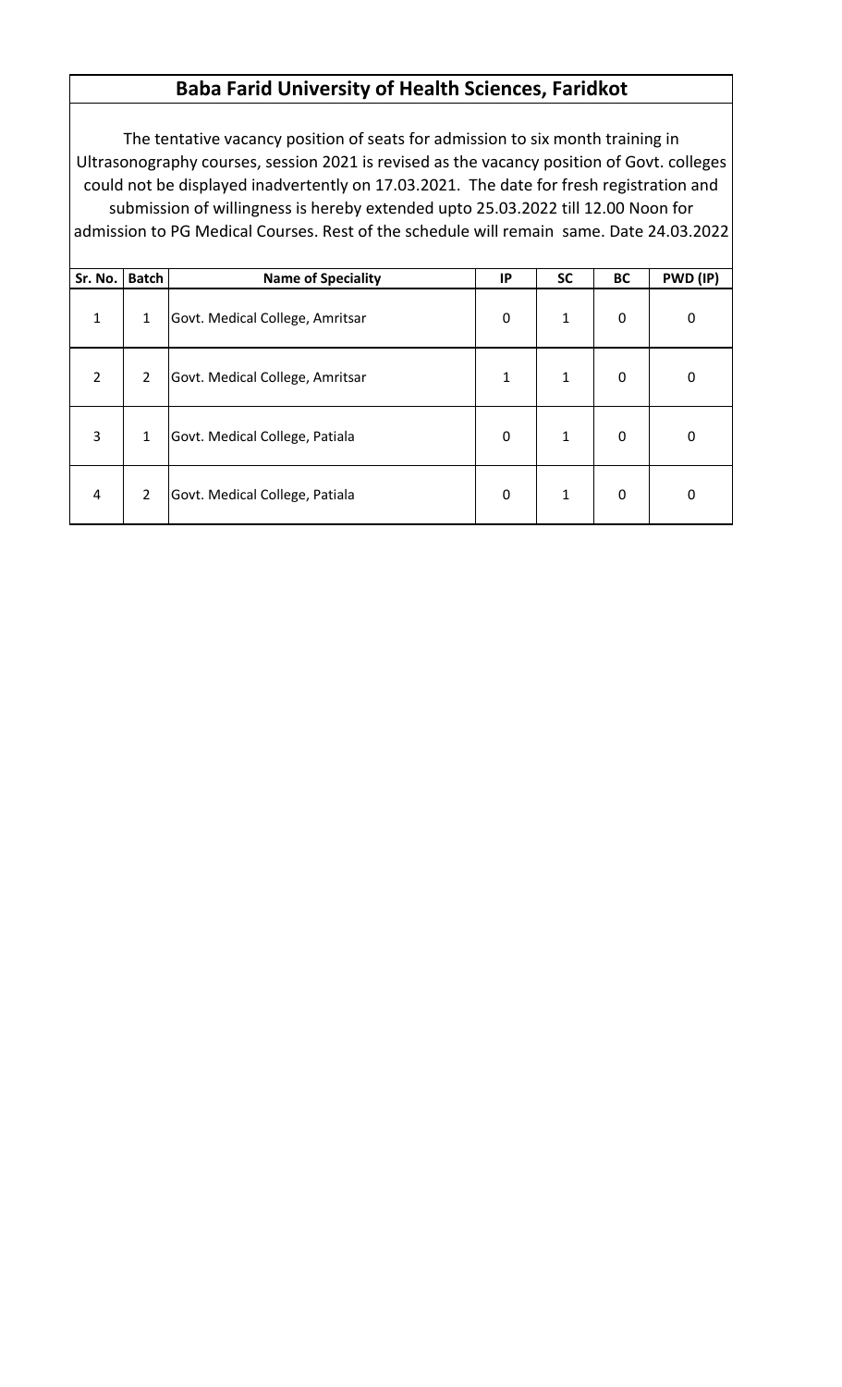## **Baba Farid University of Health Sciences, Faridkot**

The tentative vacancy position of seats for admission to six month training in Ultrasonography courses, session 2021 is revised as the vacancy position of Govt. colleges could not be displayed inadvertently on 17.03.2021. The date for fresh registration and submission of willingness is hereby extended upto 25.03.2022 till 12.00 Noon for admission to PG Medical Courses. Rest of the schedule will remain same. Date 24.03.2022

| Sr. No.        | <b>Batch</b>   | <b>Name of Speciality</b>       | IP          | <b>SC</b>    | <b>BC</b>   | PWD (IP) |
|----------------|----------------|---------------------------------|-------------|--------------|-------------|----------|
| $\mathbf{1}$   | $\mathbf{1}$   | Govt. Medical College, Amritsar | $\mathbf 0$ | $\mathbf{1}$ | $\mathbf 0$ | 0        |
| $\overline{2}$ | $\overline{2}$ | Govt. Medical College, Amritsar | 1           | $\mathbf{1}$ | $\mathbf 0$ | 0        |
| 3              | $\mathbf{1}$   | Govt. Medical College, Patiala  | 0           | $\mathbf{1}$ | $\mathbf 0$ | 0        |
| 4              | $\overline{2}$ | Govt. Medical College, Patiala  | 0           | $\mathbf{1}$ | $\mathbf 0$ | 0        |